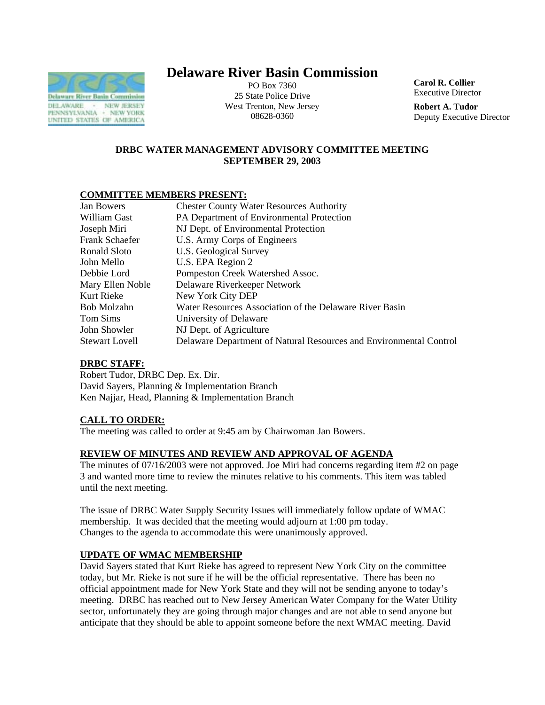

# **Delaware River Basin Commission**

PO Box 7360 25 State Police Drive West Trenton, New Jersey 08628-0360

**Carol R. Collier** Executive Director

**Robert A. Tudor**  Deputy Executive Director

# **DRBC WATER MANAGEMENT ADVISORY COMMITTEE MEETING SEPTEMBER 29, 2003**

# **COMMITTEE MEMBERS PRESENT:**

| <b>Jan Bowers</b>     | <b>Chester County Water Resources Authority</b>                    |
|-----------------------|--------------------------------------------------------------------|
| William Gast          | PA Department of Environmental Protection                          |
| Joseph Miri           | NJ Dept. of Environmental Protection                               |
| Frank Schaefer        | U.S. Army Corps of Engineers                                       |
| Ronald Sloto          | U.S. Geological Survey                                             |
| John Mello            | U.S. EPA Region 2                                                  |
| Debbie Lord           | Pompeston Creek Watershed Assoc.                                   |
| Mary Ellen Noble      | Delaware Riverkeeper Network                                       |
| Kurt Rieke            | New York City DEP                                                  |
| Bob Molzahn           | Water Resources Association of the Delaware River Basin            |
| Tom Sims              | University of Delaware                                             |
| John Showler          | NJ Dept. of Agriculture                                            |
| <b>Stewart Lovell</b> | Delaware Department of Natural Resources and Environmental Control |

#### **DRBC STAFF:**

Robert Tudor, DRBC Dep. Ex. Dir. David Sayers, Planning & Implementation Branch Ken Najjar, Head, Planning & Implementation Branch

#### **CALL TO ORDER:**

The meeting was called to order at 9:45 am by Chairwoman Jan Bowers.

#### **REVIEW OF MINUTES AND REVIEW AND APPROVAL OF AGENDA**

The minutes of 07/16/2003 were not approved. Joe Miri had concerns regarding item #2 on page 3 and wanted more time to review the minutes relative to his comments. This item was tabled until the next meeting.

The issue of DRBC Water Supply Security Issues will immediately follow update of WMAC membership. It was decided that the meeting would adjourn at 1:00 pm today. Changes to the agenda to accommodate this were unanimously approved.

# **UPDATE OF WMAC MEMBERSHIP**

David Sayers stated that Kurt Rieke has agreed to represent New York City on the committee today, but Mr. Rieke is not sure if he will be the official representative. There has been no official appointment made for New York State and they will not be sending anyone to today's meeting. DRBC has reached out to New Jersey American Water Company for the Water Utility sector, unfortunately they are going through major changes and are not able to send anyone but anticipate that they should be able to appoint someone before the next WMAC meeting. David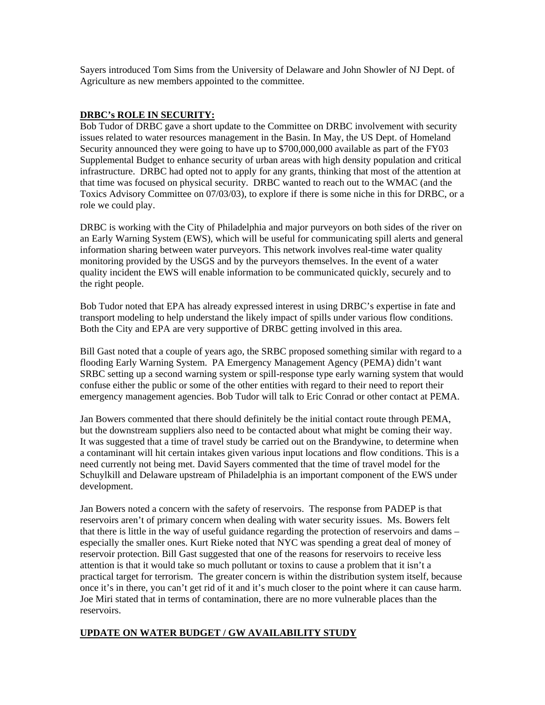Sayers introduced Tom Sims from the University of Delaware and John Showler of NJ Dept. of Agriculture as new members appointed to the committee.

## **DRBC's ROLE IN SECURITY:**

Bob Tudor of DRBC gave a short update to the Committee on DRBC involvement with security issues related to water resources management in the Basin. In May, the US Dept. of Homeland Security announced they were going to have up to \$700,000,000 available as part of the FY03 Supplemental Budget to enhance security of urban areas with high density population and critical infrastructure. DRBC had opted not to apply for any grants, thinking that most of the attention at that time was focused on physical security. DRBC wanted to reach out to the WMAC (and the Toxics Advisory Committee on 07/03/03), to explore if there is some niche in this for DRBC, or a role we could play.

DRBC is working with the City of Philadelphia and major purveyors on both sides of the river on an Early Warning System (EWS), which will be useful for communicating spill alerts and general information sharing between water purveyors. This network involves real-time water quality monitoring provided by the USGS and by the purveyors themselves. In the event of a water quality incident the EWS will enable information to be communicated quickly, securely and to the right people.

Bob Tudor noted that EPA has already expressed interest in using DRBC's expertise in fate and transport modeling to help understand the likely impact of spills under various flow conditions. Both the City and EPA are very supportive of DRBC getting involved in this area.

Bill Gast noted that a couple of years ago, the SRBC proposed something similar with regard to a flooding Early Warning System. PA Emergency Management Agency (PEMA) didn't want SRBC setting up a second warning system or spill-response type early warning system that would confuse either the public or some of the other entities with regard to their need to report their emergency management agencies. Bob Tudor will talk to Eric Conrad or other contact at PEMA.

Jan Bowers commented that there should definitely be the initial contact route through PEMA, but the downstream suppliers also need to be contacted about what might be coming their way. It was suggested that a time of travel study be carried out on the Brandywine, to determine when a contaminant will hit certain intakes given various input locations and flow conditions. This is a need currently not being met. David Sayers commented that the time of travel model for the Schuylkill and Delaware upstream of Philadelphia is an important component of the EWS under development.

Jan Bowers noted a concern with the safety of reservoirs. The response from PADEP is that reservoirs aren't of primary concern when dealing with water security issues. Ms. Bowers felt that there is little in the way of useful guidance regarding the protection of reservoirs and dams – especially the smaller ones. Kurt Rieke noted that NYC was spending a great deal of money of reservoir protection. Bill Gast suggested that one of the reasons for reservoirs to receive less attention is that it would take so much pollutant or toxins to cause a problem that it isn't a practical target for terrorism. The greater concern is within the distribution system itself, because once it's in there, you can't get rid of it and it's much closer to the point where it can cause harm. Joe Miri stated that in terms of contamination, there are no more vulnerable places than the reservoirs.

#### **UPDATE ON WATER BUDGET / GW AVAILABILITY STUDY**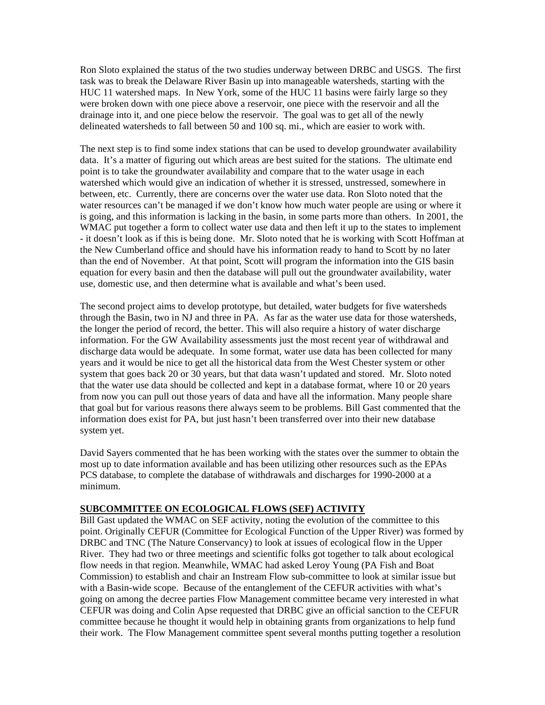Ron Sloto explained the status of the two studies underway between DRBC and USGS. The first task was to break the Delaware River Basin up into manageable watersheds, starting with the HUC 11 watershed maps. In New York, some of the HUC 11 basins were fairly large so they were broken down with one piece above a reservoir, one piece with the reservoir and all the drainage into it, and one piece below the reservoir. The goal was to get all of the newly delineated watersheds to fall between 50 and 100 sq. mi., which are easier to work with.

The next step is to find some index stations that can be used to develop groundwater availability data. It's a matter of figuring out which areas are best suited for the stations. The ultimate end point is to take the groundwater availability and compare that to the water usage in each watershed which would give an indication of whether it is stressed, unstressed, somewhere in between, etc. Currently, there are concerns over the water use data. Ron Sloto noted that the water resources can't be managed if we don't know how much water people are using or where it is going, and this information is lacking in the basin, in some parts more than others. In 2001, the WMAC put together a form to collect water use data and then left it up to the states to implement - it doesn't look as if this is being done. Mr. Sloto noted that he is working with Scott Hoffman at the New Cumberland office and should have his information ready to hand to Scott by no later than the end of November. At that point, Scott will program the information into the GIS basin equation for every basin and then the database will pull out the groundwater availability, water use, domestic use, and then determine what is available and what's been used.

The second project aims to develop prototype, but detailed, water budgets for five watersheds through the Basin, two in NJ and three in PA. As far as the water use data for those watersheds, the longer the period of record, the better. This will also require a history of water discharge information. For the GW Availability assessments just the most recent year of withdrawal and discharge data would be adequate. In some format, water use data has been collected for many years and it would be nice to get all the historical data from the West Chester system or other system that goes back 20 or 30 years, but that data wasn't updated and stored. Mr. Sloto noted that the water use data should be collected and kept in a database format, where 10 or 20 years from now you can pull out those years of data and have all the information. Many people share that goal but for various reasons there always seem to be problems. Bill Gast commented that the information does exist for PA, but just hasn't been transferred over into their new database system yet.

David Sayers commented that he has been working with the states over the summer to obtain the most up to date information available and has been utilizing other resources such as the EPAs PCS database, to complete the database of withdrawals and discharges for 1990-2000 at a minimum.

#### **SUBCOMMITTEE ON ECOLOGICAL FLOWS (SEF) ACTIVITY**

Bill Gast updated the WMAC on SEF activity, noting the evolution of the committee to this point. Originally CEFUR (Committee for Ecological Function of the Upper River) was formed by DRBC and TNC (The Nature Conservancy) to look at issues of ecological flow in the Upper River. They had two or three meetings and scientific folks got together to talk about ecological flow needs in that region. Meanwhile, WMAC had asked Leroy Young (PA Fish and Boat Commission) to establish and chair an Instream Flow sub-committee to look at similar issue but with a Basin-wide scope. Because of the entanglement of the CEFUR activities with what's going on among the decree parties Flow Management committee became very interested in what CEFUR was doing and Colin Apse requested that DRBC give an official sanction to the CEFUR committee because he thought it would help in obtaining grants from organizations to help fund their work. The Flow Management committee spent several months putting together a resolution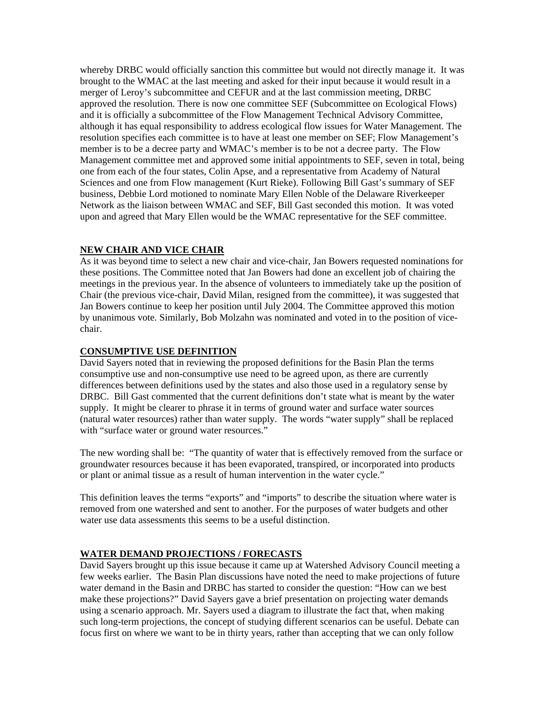whereby DRBC would officially sanction this committee but would not directly manage it. It was brought to the WMAC at the last meeting and asked for their input because it would result in a merger of Leroy's subcommittee and CEFUR and at the last commission meeting, DRBC approved the resolution. There is now one committee SEF (Subcommittee on Ecological Flows) and it is officially a subcommittee of the Flow Management Technical Advisory Committee, although it has equal responsibility to address ecological flow issues for Water Management. The resolution specifies each committee is to have at least one member on SEF; Flow Management's member is to be a decree party and WMAC's member is to be not a decree party. The Flow Management committee met and approved some initial appointments to SEF, seven in total, being one from each of the four states, Colin Apse, and a representative from Academy of Natural Sciences and one from Flow management (Kurt Rieke). Following Bill Gast's summary of SEF business, Debbie Lord motioned to nominate Mary Ellen Noble of the Delaware Riverkeeper Network as the liaison between WMAC and SEF, Bill Gast seconded this motion. It was voted upon and agreed that Mary Ellen would be the WMAC representative for the SEF committee.

# **NEW CHAIR AND VICE CHAIR**

As it was beyond time to select a new chair and vice-chair, Jan Bowers requested nominations for these positions. The Committee noted that Jan Bowers had done an excellent job of chairing the meetings in the previous year. In the absence of volunteers to immediately take up the position of Chair (the previous vice-chair, David Milan, resigned from the committee), it was suggested that Jan Bowers continue to keep her position until July 2004. The Committee approved this motion by unanimous vote. Similarly, Bob Molzahn was nominated and voted in to the position of vicechair.

## **CONSUMPTIVE USE DEFINITION**

David Sayers noted that in reviewing the proposed definitions for the Basin Plan the terms consumptive use and non-consumptive use need to be agreed upon, as there are currently differences between definitions used by the states and also those used in a regulatory sense by DRBC. Bill Gast commented that the current definitions don't state what is meant by the water supply. It might be clearer to phrase it in terms of ground water and surface water sources (natural water resources) rather than water supply. The words "water supply" shall be replaced with "surface water or ground water resources."

The new wording shall be: "The quantity of water that is effectively removed from the surface or groundwater resources because it has been evaporated, transpired, or incorporated into products or plant or animal tissue as a result of human intervention in the water cycle."

This definition leaves the terms "exports" and "imports" to describe the situation where water is removed from one watershed and sent to another. For the purposes of water budgets and other water use data assessments this seems to be a useful distinction.

# **WATER DEMAND PROJECTIONS / FORECASTS**

David Sayers brought up this issue because it came up at Watershed Advisory Council meeting a few weeks earlier. The Basin Plan discussions have noted the need to make projections of future water demand in the Basin and DRBC has started to consider the question: "How can we best make these projections?" David Sayers gave a brief presentation on projecting water demands using a scenario approach. Mr. Sayers used a diagram to illustrate the fact that, when making such long-term projections, the concept of studying different scenarios can be useful. Debate can focus first on where we want to be in thirty years, rather than accepting that we can only follow